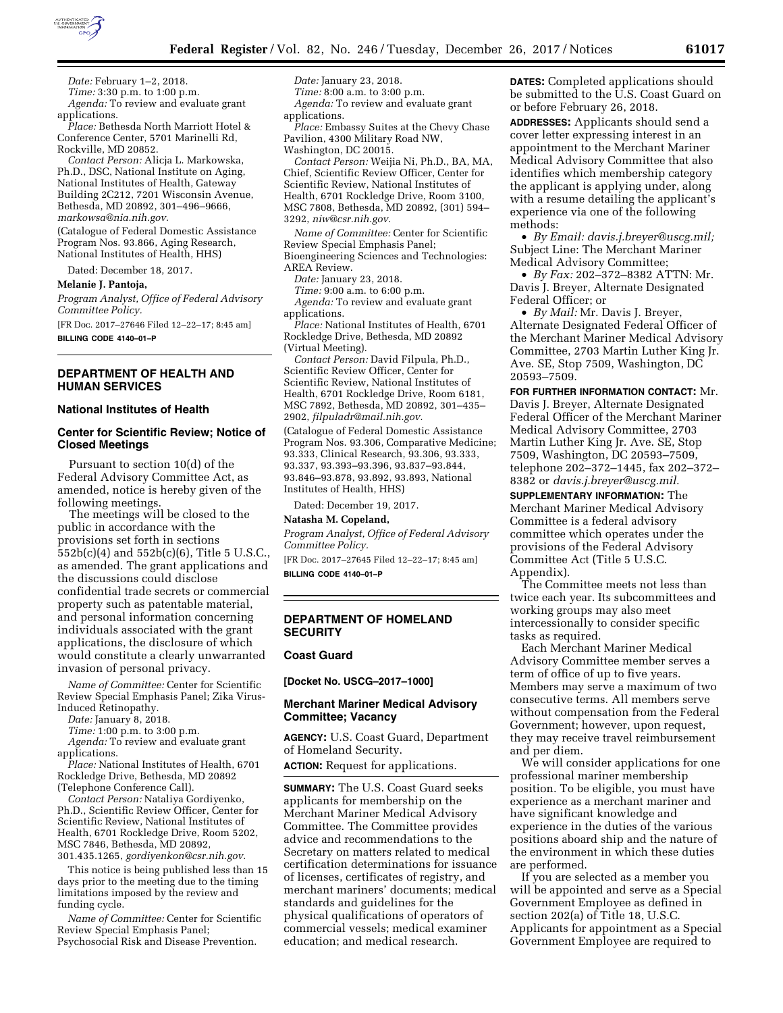

*Date:* February 1–2, 2018. *Time:* 3:30 p.m. to 1:00 p.m. *Agenda:* To review and evaluate grant

applications. *Place:* Bethesda North Marriott Hotel & Conference Center, 5701 Marinelli Rd, Rockville, MD 20852.

*Contact Person:* Alicja L. Markowska, Ph.D., DSC, National Institute on Aging, National Institutes of Health, Gateway Building 2C212, 7201 Wisconsin Avenue, Bethesda, MD 20892, 301–496–9666, *[markowsa@nia.nih.gov.](mailto:markowsa@nia.nih.gov)* 

(Catalogue of Federal Domestic Assistance Program Nos. 93.866, Aging Research, National Institutes of Health, HHS)

Dated: December 18, 2017.

**Melanie J. Pantoja,** 

*Program Analyst, Office of Federal Advisory Committee Policy.* 

[FR Doc. 2017–27646 Filed 12–22–17; 8:45 am] **BILLING CODE 4140–01–P** 

### **DEPARTMENT OF HEALTH AND HUMAN SERVICES**

### **National Institutes of Health**

## **Center for Scientific Review; Notice of Closed Meetings**

Pursuant to section 10(d) of the Federal Advisory Committee Act, as amended, notice is hereby given of the following meetings.

The meetings will be closed to the public in accordance with the provisions set forth in sections 552b(c)(4) and 552b(c)(6), Title 5 U.S.C., as amended. The grant applications and the discussions could disclose confidential trade secrets or commercial property such as patentable material, and personal information concerning individuals associated with the grant applications, the disclosure of which would constitute a clearly unwarranted invasion of personal privacy.

*Name of Committee:* Center for Scientific Review Special Emphasis Panel; Zika Virus-Induced Retinopathy.

*Date:* January 8, 2018.

*Time:* 1:00 p.m. to 3:00 p.m.

*Agenda:* To review and evaluate grant applications.

*Place:* National Institutes of Health, 6701 Rockledge Drive, Bethesda, MD 20892 (Telephone Conference Call).

*Contact Person:* Nataliya Gordiyenko, Ph.D., Scientific Review Officer, Center for Scientific Review, National Institutes of Health, 6701 Rockledge Drive, Room 5202, MSC 7846, Bethesda, MD 20892, 301.435.1265, *[gordiyenkon@csr.nih.gov.](mailto:gordiyenkon@csr.nih.gov)* 

This notice is being published less than 15 days prior to the meeting due to the timing limitations imposed by the review and funding cycle.

*Name of Committee:* Center for Scientific Review Special Emphasis Panel; Psychosocial Risk and Disease Prevention.

*Date:* January 23, 2018. *Time:* 8:00 a.m. to 3:00 p.m. *Agenda:* To review and evaluate grant applications.

*Place:* Embassy Suites at the Chevy Chase Pavilion, 4300 Military Road NW, Washington, DC 20015.

*Contact Person:* Weijia Ni, Ph.D., BA, MA, Chief, Scientific Review Officer, Center for Scientific Review, National Institutes of Health, 6701 Rockledge Drive, Room 3100, MSC 7808, Bethesda, MD 20892, (301) 594– 3292, *[niw@csr.nih.gov.](mailto:niw@csr.nih.gov)* 

*Name of Committee:* Center for Scientific Review Special Emphasis Panel; Bioengineering Sciences and Technologies: AREA Review.

*Date:* January 23, 2018.

*Time:* 9:00 a.m. to 6:00 p.m.

*Agenda:* To review and evaluate grant applications.

*Place:* National Institutes of Health, 6701 Rockledge Drive, Bethesda, MD 20892 (Virtual Meeting).

*Contact Person:* David Filpula, Ph.D., Scientific Review Officer, Center for Scientific Review, National Institutes of Health, 6701 Rockledge Drive, Room 6181, MSC 7892, Bethesda, MD 20892, 301–435– 2902, *[filpuladr@mail.nih.gov.](mailto:filpuladr@mail.nih.gov)* 

(Catalogue of Federal Domestic Assistance Program Nos. 93.306, Comparative Medicine; 93.333, Clinical Research, 93.306, 93.333, 93.337, 93.393–93.396, 93.837–93.844, 93.846–93.878, 93.892, 93.893, National Institutes of Health, HHS)

Dated: December 19, 2017.

## **Natasha M. Copeland,**

*Program Analyst, Office of Federal Advisory Committee Policy.* 

[FR Doc. 2017–27645 Filed 12–22–17; 8:45 am] **BILLING CODE 4140–01–P** 

# **DEPARTMENT OF HOMELAND SECURITY**

## **Coast Guard**

**[Docket No. USCG–2017–1000]** 

# **Merchant Mariner Medical Advisory Committee; Vacancy**

**AGENCY:** U.S. Coast Guard, Department of Homeland Security.

**ACTION:** Request for applications.

**SUMMARY:** The U.S. Coast Guard seeks applicants for membership on the Merchant Mariner Medical Advisory Committee. The Committee provides advice and recommendations to the Secretary on matters related to medical certification determinations for issuance of licenses, certificates of registry, and merchant mariners' documents; medical standards and guidelines for the physical qualifications of operators of commercial vessels; medical examiner education; and medical research.

**DATES:** Completed applications should be submitted to the U.S. Coast Guard on or before February 26, 2018.

**ADDRESSES:** Applicants should send a cover letter expressing interest in an appointment to the Merchant Mariner Medical Advisory Committee that also identifies which membership category the applicant is applying under, along with a resume detailing the applicant's experience via one of the following methods:

• *By Email: [davis.j.breyer@uscg.mil;](mailto:davis.j.breyer@uscg.mil)*  Subject Line: The Merchant Mariner Medical Advisory Committee;

• *By Fax:* 202–372–8382 ATTN: Mr. Davis J. Breyer, Alternate Designated Federal Officer; or

• *By Mail:* Mr. Davis J. Breyer, Alternate Designated Federal Officer of the Merchant Mariner Medical Advisory Committee, 2703 Martin Luther King Jr. Ave. SE, Stop 7509, Washington, DC 20593–7509.

**FOR FURTHER INFORMATION CONTACT:** Mr. Davis J. Breyer, Alternate Designated Federal Officer of the Merchant Mariner Medical Advisory Committee, 2703 Martin Luther King Jr. Ave. SE, Stop 7509, Washington, DC 20593–7509, telephone 202–372–1445, fax 202–372– 8382 or *[davis.j.breyer@uscg.mil.](mailto:davis.j.breyer@uscg.mil)* 

**SUPPLEMENTARY INFORMATION:** The Merchant Mariner Medical Advisory Committee is a federal advisory committee which operates under the provisions of the Federal Advisory Committee Act (Title 5 U.S.C. Appendix).

The Committee meets not less than twice each year. Its subcommittees and working groups may also meet intercessionally to consider specific tasks as required.

Each Merchant Mariner Medical Advisory Committee member serves a term of office of up to five years. Members may serve a maximum of two consecutive terms. All members serve without compensation from the Federal Government; however, upon request, they may receive travel reimbursement and per diem.

We will consider applications for one professional mariner membership position. To be eligible, you must have experience as a merchant mariner and have significant knowledge and experience in the duties of the various positions aboard ship and the nature of the environment in which these duties are performed.

If you are selected as a member you will be appointed and serve as a Special Government Employee as defined in section 202(a) of Title 18, U.S.C. Applicants for appointment as a Special Government Employee are required to